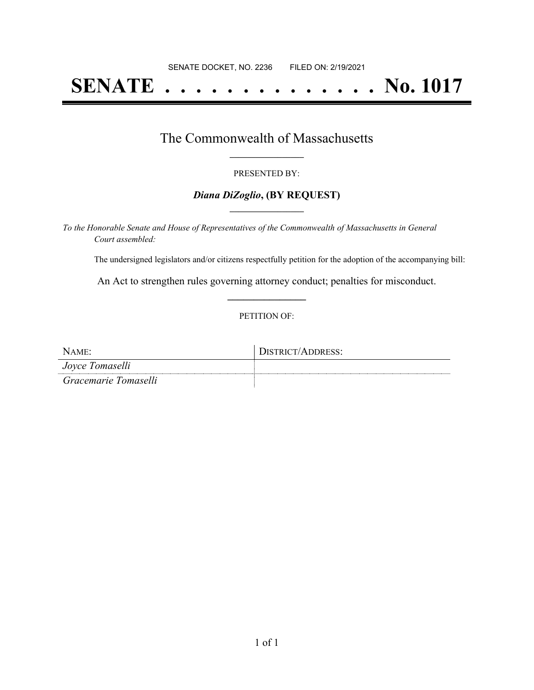# **SENATE . . . . . . . . . . . . . . No. 1017**

### The Commonwealth of Massachusetts **\_\_\_\_\_\_\_\_\_\_\_\_\_\_\_\_\_**

#### PRESENTED BY:

#### *Diana DiZoglio***, (BY REQUEST) \_\_\_\_\_\_\_\_\_\_\_\_\_\_\_\_\_**

*To the Honorable Senate and House of Representatives of the Commonwealth of Massachusetts in General Court assembled:*

The undersigned legislators and/or citizens respectfully petition for the adoption of the accompanying bill:

An Act to strengthen rules governing attorney conduct; penalties for misconduct. **\_\_\_\_\_\_\_\_\_\_\_\_\_\_\_**

#### PETITION OF:

| NAME:                | DISTRICT/ADDRESS: |
|----------------------|-------------------|
| Joyce Tomaselli      |                   |
| Gracemarie Tomaselli |                   |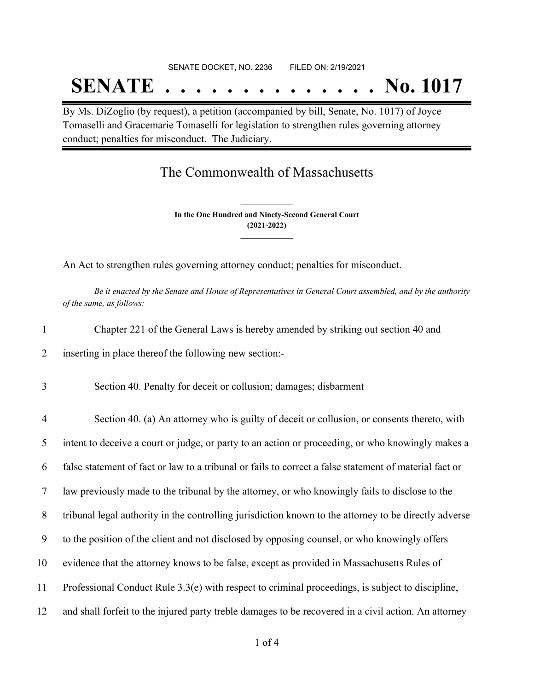## SENATE DOCKET, NO. 2236 FILED ON: 2/19/2021 **SENATE . . . . . . . . . . . . . . No. 1017**

By Ms. DiZoglio (by request), a petition (accompanied by bill, Senate, No. 1017) of Joyce Tomaselli and Gracemarie Tomaselli for legislation to strengthen rules governing attorney conduct; penalties for misconduct. The Judiciary.

## The Commonwealth of Massachusetts

**In the One Hundred and Ninety-Second General Court (2021-2022) \_\_\_\_\_\_\_\_\_\_\_\_\_\_\_**

**\_\_\_\_\_\_\_\_\_\_\_\_\_\_\_**

An Act to strengthen rules governing attorney conduct; penalties for misconduct.

Be it enacted by the Senate and House of Representatives in General Court assembled, and by the authority *of the same, as follows:*

| $\mathbf{1}$   | Chapter 221 of the General Laws is hereby amended by striking out section 40 and                       |
|----------------|--------------------------------------------------------------------------------------------------------|
| 2              | inserting in place thereof the following new section:-                                                 |
| 3              | Section 40. Penalty for deceit or collusion; damages; disbarment                                       |
| $\overline{4}$ | Section 40. (a) An attorney who is guilty of deceit or collusion, or consents thereto, with            |
| 5              | intent to deceive a court or judge, or party to an action or proceeding, or who knowingly makes a      |
| 6              | false statement of fact or law to a tribunal or fails to correct a false statement of material fact or |
| 7              | law previously made to the tribunal by the attorney, or who knowingly fails to disclose to the         |
| 8              | tribunal legal authority in the controlling jurisdiction known to the attorney to be directly adverse  |
| 9              | to the position of the client and not disclosed by opposing counsel, or who knowingly offers           |
| 10             | evidence that the attorney knows to be false, except as provided in Massachusetts Rules of             |
| 11             | Professional Conduct Rule 3.3(e) with respect to criminal proceedings, is subject to discipline,       |
| 12             | and shall forfeit to the injured party treble damages to be recovered in a civil action. An attorney   |
|                |                                                                                                        |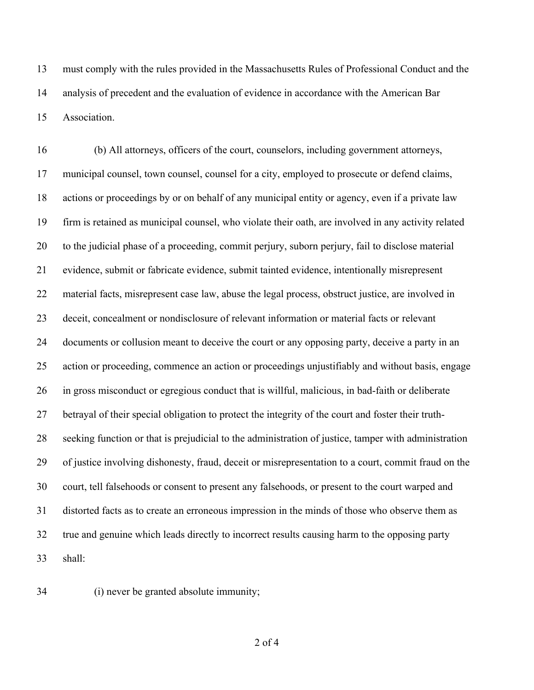must comply with the rules provided in the Massachusetts Rules of Professional Conduct and the analysis of precedent and the evaluation of evidence in accordance with the American Bar Association.

 (b) All attorneys, officers of the court, counselors, including government attorneys, municipal counsel, town counsel, counsel for a city, employed to prosecute or defend claims, actions or proceedings by or on behalf of any municipal entity or agency, even if a private law firm is retained as municipal counsel, who violate their oath, are involved in any activity related to the judicial phase of a proceeding, commit perjury, suborn perjury, fail to disclose material evidence, submit or fabricate evidence, submit tainted evidence, intentionally misrepresent material facts, misrepresent case law, abuse the legal process, obstruct justice, are involved in deceit, concealment or nondisclosure of relevant information or material facts or relevant documents or collusion meant to deceive the court or any opposing party, deceive a party in an action or proceeding, commence an action or proceedings unjustifiably and without basis, engage in gross misconduct or egregious conduct that is willful, malicious, in bad-faith or deliberate betrayal of their special obligation to protect the integrity of the court and foster their truth- seeking function or that is prejudicial to the administration of justice, tamper with administration of justice involving dishonesty, fraud, deceit or misrepresentation to a court, commit fraud on the court, tell falsehoods or consent to present any falsehoods, or present to the court warped and distorted facts as to create an erroneous impression in the minds of those who observe them as true and genuine which leads directly to incorrect results causing harm to the opposing party shall:

(i) never be granted absolute immunity;

of 4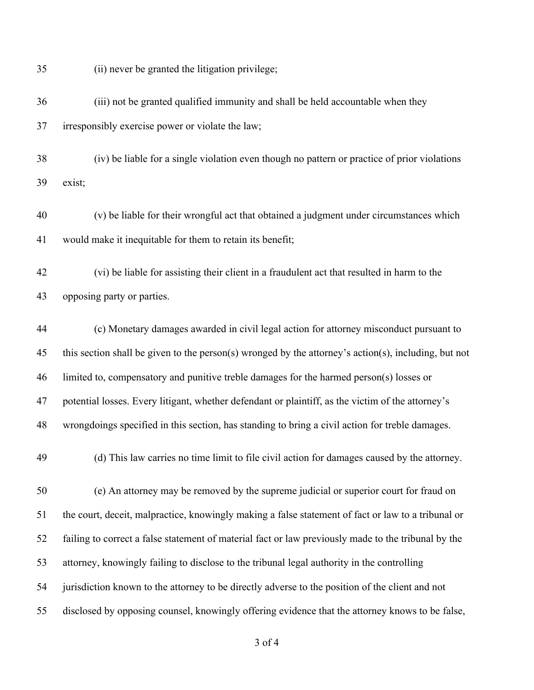(ii) never be granted the litigation privilege;

 (iii) not be granted qualified immunity and shall be held accountable when they irresponsibly exercise power or violate the law;

 (iv) be liable for a single violation even though no pattern or practice of prior violations exist;

 (v) be liable for their wrongful act that obtained a judgment under circumstances which would make it inequitable for them to retain its benefit;

 (vi) be liable for assisting their client in a fraudulent act that resulted in harm to the opposing party or parties.

 (c) Monetary damages awarded in civil legal action for attorney misconduct pursuant to this section shall be given to the person(s) wronged by the attorney's action(s), including, but not limited to, compensatory and punitive treble damages for the harmed person(s) losses or potential losses. Every litigant, whether defendant or plaintiff, as the victim of the attorney's wrongdoings specified in this section, has standing to bring a civil action for treble damages.

(d) This law carries no time limit to file civil action for damages caused by the attorney.

 (e) An attorney may be removed by the supreme judicial or superior court for fraud on the court, deceit, malpractice, knowingly making a false statement of fact or law to a tribunal or failing to correct a false statement of material fact or law previously made to the tribunal by the attorney, knowingly failing to disclose to the tribunal legal authority in the controlling jurisdiction known to the attorney to be directly adverse to the position of the client and not disclosed by opposing counsel, knowingly offering evidence that the attorney knows to be false,

of 4